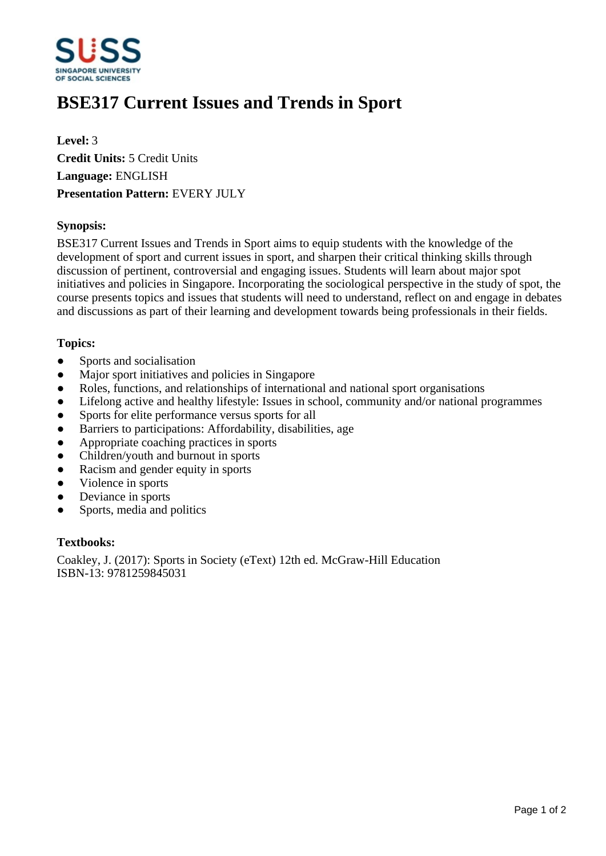

# **BSE317 Current Issues and Trends in Sport**

**Level:** 3 **Credit Units:** 5 Credit Units **Language:** ENGLISH **Presentation Pattern:** EVERY JULY

## **Synopsis:**

BSE317 Current Issues and Trends in Sport aims to equip students with the knowledge of the development of sport and current issues in sport, and sharpen their critical thinking skills through discussion of pertinent, controversial and engaging issues. Students will learn about major spot initiatives and policies in Singapore. Incorporating the sociological perspective in the study of spot, the course presents topics and issues that students will need to understand, reflect on and engage in debates and discussions as part of their learning and development towards being professionals in their fields.

### **Topics:**

- Sports and socialisation
- Major sport initiatives and policies in Singapore
- Roles, functions, and relationships of international and national sport organisations
- Lifelong active and healthy lifestyle: Issues in school, community and/or national programmes
- Sports for elite performance versus sports for all
- Barriers to participations: Affordability, disabilities, age
- Appropriate coaching practices in sports
- Children/youth and burnout in sports
- ƔRacism and gender equity in sports
- Violence in sports
- Deviance in sports
- Sports, media and politics

#### **Textbooks:**

Coakley, J. (2017): Sports in Society (eText) 12th ed. McGraw-Hill Education ISBN-13: 9781259845031